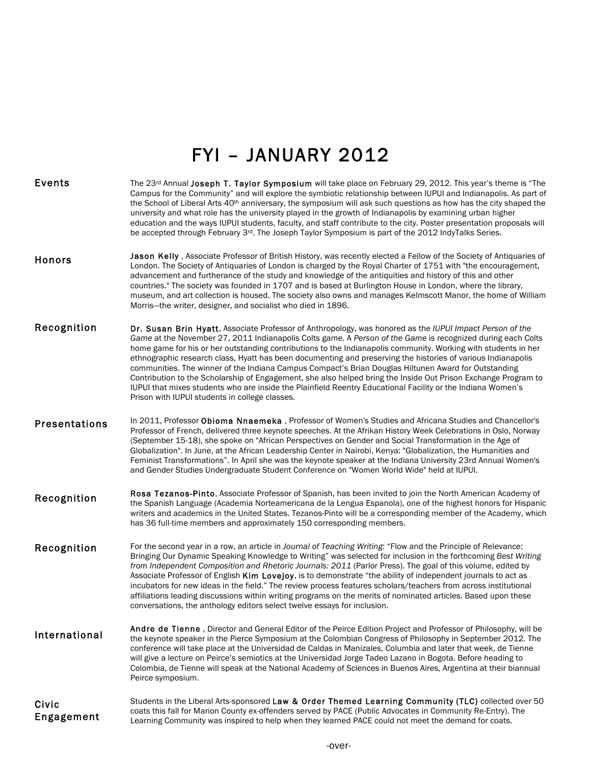## FYI – JANUARY 2012

| <b>Events</b>        | The 23 <sup>rd</sup> Annual Joseph T. Taylor Symposium will take place on February 29, 2012. This year's theme is "The<br>Campus for the Community" and will explore the symbiotic relationship between IUPUI and Indianapolis. As part of<br>the School of Liberal Arts 40 <sup>th</sup> anniversary, the symposium will ask such questions as how has the city shaped the<br>university and what role has the university played in the growth of Indianapolis by examining urban higher<br>education and the ways IUPUI students, faculty, and staff contribute to the city. Poster presentation proposals will<br>be accepted through February 3 <sup>rd</sup> . The Joseph Taylor Symposium is part of the 2012 IndyTalks Series.                                                                                                                |
|----------------------|------------------------------------------------------------------------------------------------------------------------------------------------------------------------------------------------------------------------------------------------------------------------------------------------------------------------------------------------------------------------------------------------------------------------------------------------------------------------------------------------------------------------------------------------------------------------------------------------------------------------------------------------------------------------------------------------------------------------------------------------------------------------------------------------------------------------------------------------------|
| Honors               | Jason Kelly, Associate Professor of British History, was recently elected a Fellow of the Society of Antiquaries of<br>London. The Society of Antiquaries of London is charged by the Royal Charter of 1751 with "the encouragement,<br>advancement and furtherance of the study and knowledge of the antiquities and history of this and other<br>countries." The society was founded in 1707 and is based at Burlington House in London, where the library,<br>museum, and art collection is housed. The society also owns and manages Kelmscott Manor, the home of William<br>Morris-the writer, designer, and socialist who died in 1896.                                                                                                                                                                                                        |
| Recognition          | Dr. Susan Brin Hyatt, Associate Professor of Anthropology, was honored as the IUPUI Impact Person of the<br>Game at the November 27, 2011 Indianapolis Colts game. A Person of the Game is recognized during each Colts<br>home game for his or her outstanding contributions to the Indianapolis community. Working with students in her<br>ethnographic research class, Hyatt has been documenting and preserving the histories of various Indianapolis<br>communities. The winner of the Indiana Campus Compact's Brian Douglas Hiltunen Award for Outstanding<br>Contribution to the Scholarship of Engagement, she also helped bring the Inside Out Prison Exchange Program to<br>IUPUI that mixes students who are inside the Plainfield Reentry Educational Facility or the Indiana Women's<br>Prison with IUPUI students in college classes. |
| <b>Presentations</b> | In 2011, Professor Obioma Nnaemeka, Professor of Women's Studies and Africana Studies and Chancellor's<br>Professor of French, delivered three keynote speeches. At the Afrikan History Week Celebrations in Oslo, Norway<br>(September 15-18), she spoke on "African Perspectives on Gender and Social Transformation in the Age of<br>Globalization". In June, at the African Leadership Center in Nairobi, Kenya: "Globalization, the Humanities and<br>Feminist Transformations". In April she was the keynote speaker at the Indiana University 23rd Annual Women's<br>and Gender Studies Undergraduate Student Conference on "Women World Wide" held at IUPUI.                                                                                                                                                                                 |
| Recognition          | Rosa Tezanos-Pinto, Associate Professor of Spanish, has been invited to join the North American Academy of<br>the Spanish Language (Academia Norteamericana de la Lengua Espanola), one of the highest honors for Hispanic<br>writers and academics in the United States. Tezanos-Pinto will be a corresponding member of the Academy, which<br>has 36 full-time members and approximately 150 corresponding members.                                                                                                                                                                                                                                                                                                                                                                                                                                |
| Recognition          | For the second year in a row, an article in Journal of Teaching Writing: "Flow and the Principle of Relevance:<br>Bringing Our Dynamic Speaking Knowledge to Writing" was selected for inclusion in the forthcoming Best Writing<br>from Independent Composition and Rhetoric Journals: 2011 (Parlor Press). The goal of this volume, edited by<br>Associate Professor of English Kim Lovejoy, is to demonstrate "the ability of independent journals to act as<br>incubators for new ideas in the field." The review process features scholars/teachers from across institutional<br>affiliations leading discussions within writing programs on the merits of nominated articles. Based upon these<br>conversations, the anthology editors select twelve essays for inclusion.                                                                     |
| International        | Andre de Tienne, Director and General Editor of the Peirce Edition Project and Professor of Philosophy, will be<br>the keynote speaker in the Pierce Symposium at the Colombian Congress of Philosophy in September 2012. The<br>conference will take place at the Universidad de Caldas in Manizales, Columbia and later that week, de Tienne<br>will give a lecture on Peirce's semiotics at the Universidad Jorge Tadeo Lazano in Bogota. Before heading to<br>Colombia, de Tienne will speak at the National Academy of Sciences in Buenos Aires, Argentina at their biannual<br>Peirce symposium.                                                                                                                                                                                                                                               |
| Civic<br>Engagement  | Students in the Liberal Arts-sponsored Law & Order Themed Learning Community (TLC) collected over 50<br>coats this fall for Marion County ex-offenders served by PACE (Public Advocates in Community Re-Entry). The<br>Learning Community was inspired to help when they learned PACE could not meet the demand for coats.                                                                                                                                                                                                                                                                                                                                                                                                                                                                                                                           |